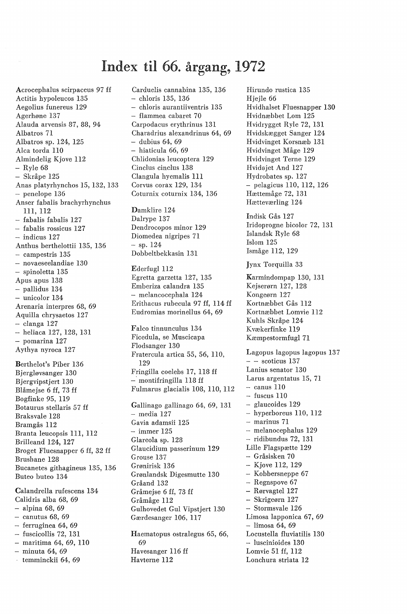## Index til 66. årgang, 1972

Acrocephalus scirpaceus 97 ff Actitis hypoleucos 135 Aegolius funereus 129 Agerhøne 137 Alauda arvensis 87, 88, 94 Albatros 71 Albatros sp. 124, 125 Alca torda 110 Almindelig Kjove 112 - Ryle 68 - Skråpe 125 Anas platyrhynchos 15, 132, 133 - penelope 136 Anser fabalis brachyrhynchus 111, 112 - fabalis fabalis 127 - fabalis rossicus 127  $-$  indicus 127 Anthus berthelottii 135, 136 - campestris 135 - novaeseelandiae 130 - spinoletta 135 Apus apus 138 - pallidus 134 - unicolor 134 Arenaria interpres 68, 69 Aquilla chrysaetos 127  $-$  clanga 127 - heliaca 127, 128, 131 - pomarina 127 Aythya nyroca 127 Berthelot's Piber 136 Bjergløvsanger 130 Bjergvipstjert 130 Blåmejse 6 ff, 73 ff Bogfinke 95, 119 Botaurus stellaris 57 ff Braksvale 128 Bramgås 112 Branta leucopsis 111, 112 Brilleand 124, 127 Broget Fluesnapper 6 ff, 32 ff Brushane 128 Bucanetes githagineus 135, 136 Buteo buteo 134 Calandrella rufescens 134 Calidris alba 68, 69 - alpina 68, 69  $-$  canutus 68, 69

- ferruginea 64, 69
- fuscicollis 72, 131
- maritima 64, 69, 110
- minuta 64, 69
- temminckii 64, 69

Carduelis cannabina 135, 136 - chloris 135, 136 - chloris aurantiiventris 135 - flammea cabaret 70 Carpodacus erythrinus 131 Charadrius alexandrinus 64, 69  $-$  dubius 64, 69 - hiaticula 66, 69 Chlidonias leucoptera 129 Cinclus cinclus 138 Clangula hyemalis lll Corvus corax 129, 134 Coturnix coturnix 134, 136

Damklire 124 Dalrype 137 Dendrocopos minor 129 Diomedea nigripes 71 sp. 124 Dobbeltbekkasin 131

Ederfugl 112 Egretta garzetta 127, 135 Emberiza calandra 135 melancocephala 124 Erithacus rubecula 97 ff, 114 ff Eudromias morinellus 64, 69

Falco tinnunculus 134 Ficedula, se Muscicapa Flodsanger 130 Fratercula artica 55, 56, 110, 129 Fringilla coelebs 17, 118 ff - montifringilla 118 ff Fulmarus glacialis 108, llO, 112

Gallinago gallinago 64, 69, 131  $-$  media 127 Gavia adamsii 125  $-$  immer 125 Glareola sp. 128 Glaucidium passerinum 129 Grouse 137 Grønirisk 136 Grønlandsk Digesmutte 130 Gråand 132 Gråmejse 6 ff, 73 ff Gråmåge 112 Gulhovedet Gul Vipstjert 130 Gærdesanger 106, 117 Haematopus ostralegus 65, 66,

69 Havesanger 116 ff Havterne 112

Hirundo rustica 135 Hieile 66 Hvidhalset Fluesnapper 130 Hvidnæbbet Lom 125 Hvidrygget Ryle 72, 131 Hvidskægget Sanger 124 Hvidvinget Korsnæb 131 Hvidvinget Måge 129 Hvidvinget Terne 129 Hvidøjet And 127 Hydrobates sp. 127 - pelagicus 110, 112, 126 Hættemåge 72, 131 Hætteværling 124

Indisk Gås 127 Iridoprogne bicolor 72, 131 Islandsk Ryle 68 Islom 125 Ismåge 112, 129

Jynx Torquilla 33

Karmindompap 130, 131 Kejserørn 127, 128 Kongeørn 127 Kortnæbbet Gås 112 Kortnæbbet Lomvie 112 Kuhls Skråpe 124· Kvækerfinke 119 Kæmpestormfugl 71

Lagopuslagopuslagopus 137  $-$  - scoticus 137 Lanius senator 130 Larus argentatus 15, 71  $-$  canus 110  $-$  fuscus 110 - glaucoides 129 - hyperboreus 110, 112 - marinus 71 - melanocephalus 129 - ridibundus 72, 131 Lille Flagspætte 129 - Gråsisken 70 - Kjove 112, 129 - Kobbersneppe 67 - Regnspove 67 - Rørvagtel 127 - Skrigeørn 127 - Stormsvale 126 Limosa lapponica 67, 69 - limosa 64, 69 Locustella fluviatilis 130 - luscinioides 130 Lomvie 51 ff, 112 Lonchura striata 12